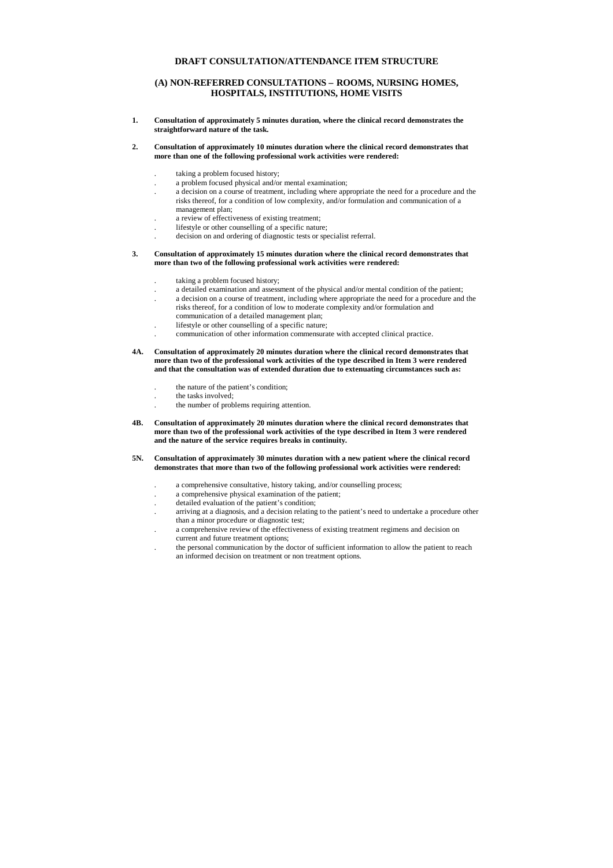# **DRAFT CONSULTATION/ATTENDANCE ITEM STRUCTURE**

# **(A) NON-REFERRED CONSULTATIONS – ROOMS, NURSING HOMES, HOSPITALS, INSTITUTIONS, HOME VISITS**

**1. Consultation of approximately 5 minutes duration, where the clinical record demonstrates the straightforward nature of the task.**

#### **2. Consultation of approximately 10 minutes duration where the clinical record demonstrates that more than one of the following professional work activities were rendered:**

- . taking a problem focused history;
- . a problem focused physical and/or mental examination;
- . a decision on a course of treatment, including where appropriate the need for a procedure and the risks thereof, for a condition of low complexity, and/or formulation and communication of a management plan;
- . a review of effectiveness of existing treatment;
- . lifestyle or other counselling of a specific nature;
- . decision on and ordering of diagnostic tests or specialist referral.

#### **3. Consultation of approximately 15 minutes duration where the clinical record demonstrates that more than two of the following professional work activities were rendered:**

- . taking a problem focused history;
- . a detailed examination and assessment of the physical and/or mental condition of the patient;
- . a decision on a course of treatment, including where appropriate the need for a procedure and the risks thereof, for a condition of low to moderate complexity and/or formulation and communication of a detailed management plan;
- . lifestyle or other counselling of a specific nature;
- . communication of other information commensurate with accepted clinical practice.
- **4A. Consultation of approximately 20 minutes duration where the clinical record demonstrates that more than two of the professional work activities of the type described in Item 3 were rendered and that the consultation was of extended duration due to extenuating circumstances such as:**
	- . the nature of the patient's condition;
	- the tasks involved;
	- . the number of problems requiring attention.
- **4B. Consultation of approximately 20 minutes duration where the clinical record demonstrates that more than two of the professional work activities of the type described in Item 3 were rendered and the nature of the service requires breaks in continuity.**

## **5N. Consultation of approximately 30 minutes duration with a new patient where the clinical record demonstrates that more than two of the following professional work activities were rendered:**

- . a comprehensive consultative, history taking, and/or counselling process;
- . a comprehensive physical examination of the patient;
- . detailed evaluation of the patient's condition;
- . arriving at a diagnosis, and a decision relating to the patient's need to undertake a procedure other than a minor procedure or diagnostic test;
- . a comprehensive review of the effectiveness of existing treatment regimens and decision on current and future treatment options;
- . the personal communication by the doctor of sufficient information to allow the patient to reach an informed decision on treatment or non treatment options.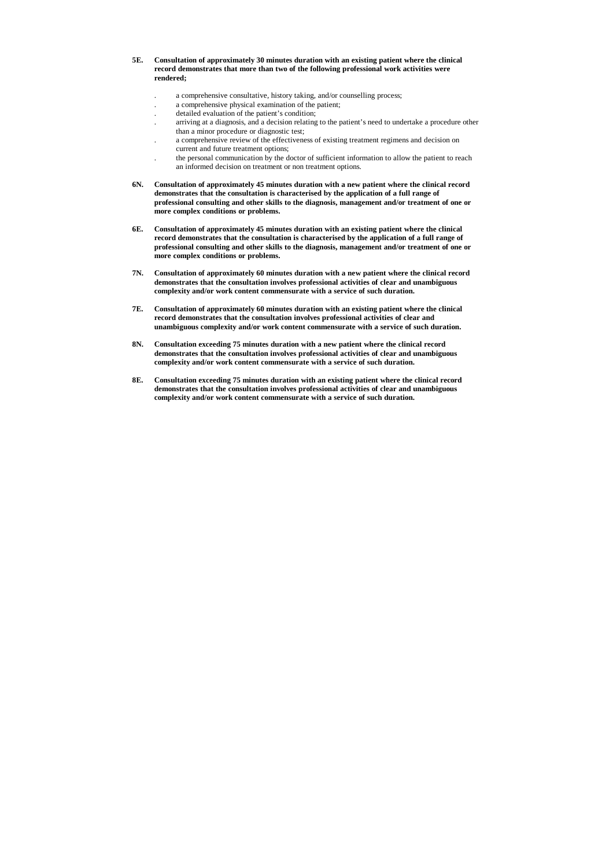- **5E. Consultation of approximately 30 minutes duration with an existing patient where the clinical record demonstrates that more than two of the following professional work activities were rendered;**
	- . a comprehensive consultative, history taking, and/or counselling process;
	- . a comprehensive physical examination of the patient;
	- . detailed evaluation of the patient's condition;
	- . arriving at a diagnosis, and a decision relating to the patient's need to undertake a procedure other than a minor procedure or diagnostic test;
	- . a comprehensive review of the effectiveness of existing treatment regimens and decision on current and future treatment options;
	- . the personal communication by the doctor of sufficient information to allow the patient to reach an informed decision on treatment or non treatment options.
- **6N. Consultation of approximately 45 minutes duration with a new patient where the clinical record demonstrates that the consultation is characterised by the application of a full range of professional consulting and other skills to the diagnosis, management and/or treatment of one or more complex conditions or problems.**
- **6E. Consultation of approximately 45 minutes duration with an existing patient where the clinical record demonstrates that the consultation is characterised by the application of a full range of professional consulting and other skills to the diagnosis, management and/or treatment of one or more complex conditions or problems.**
- **7N. Consultation of approximately 60 minutes duration with a new patient where the clinical record demonstrates that the consultation involves professional activities of clear and unambiguous complexity and/or work content commensurate with a service of such duration.**
- **7E. Consultation of approximately 60 minutes duration with an existing patient where the clinical record demonstrates that the consultation involves professional activities of clear and unambiguous complexity and/or work content commensurate with a service of such duration.**
- **8N. Consultation exceeding 75 minutes duration with a new patient where the clinical record demonstrates that the consultation involves professional activities of clear and unambiguous complexity and/or work content commensurate with a service of such duration.**
- **8E. Consultation exceeding 75 minutes duration with an existing patient where the clinical record demonstrates that the consultation involves professional activities of clear and unambiguous complexity and/or work content commensurate with a service of such duration.**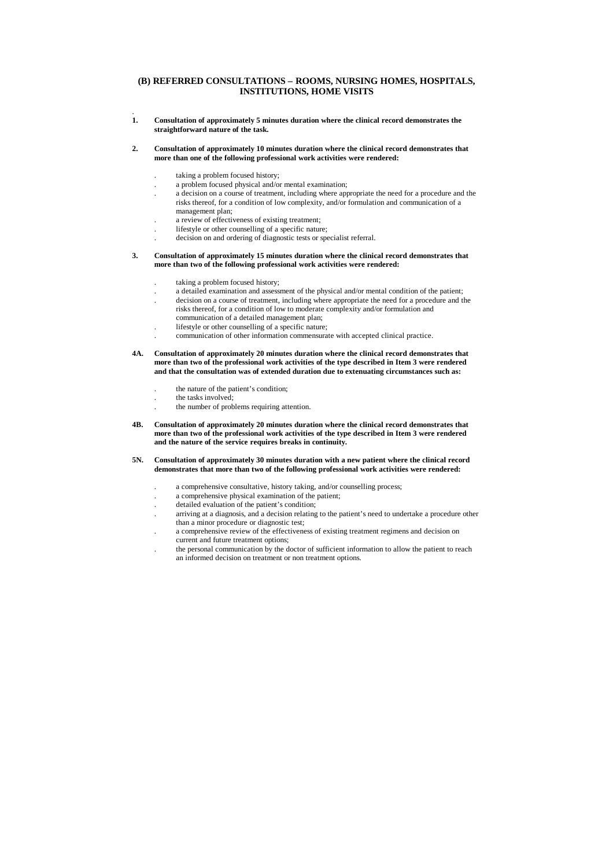## **(B) REFERRED CONSULTATIONS – ROOMS, NURSING HOMES, HOSPITALS, INSTITUTIONS, HOME VISITS**

.<br>1. **1. Consultation of approximately 5 minutes duration where the clinical record demonstrates the straightforward nature of the task.**

## **2. Consultation of approximately 10 minutes duration where the clinical record demonstrates that more than one of the following professional work activities were rendered:**

- . taking a problem focused history;
- . a problem focused physical and/or mental examination;
- . a decision on a course of treatment, including where appropriate the need for a procedure and the risks thereof, for a condition of low complexity, and/or formulation and communication of a management plan;
- . a review of effectiveness of existing treatment;
- . lifestyle or other counselling of a specific nature;
- . decision on and ordering of diagnostic tests or specialist referral.

#### **3. Consultation of approximately 15 minutes duration where the clinical record demonstrates that more than two of the following professional work activities were rendered:**

- taking a problem focused history;
- . a detailed examination and assessment of the physical and/or mental condition of the patient;
- . decision on a course of treatment, including where appropriate the need for a procedure and the risks thereof, for a condition of low to moderate complexity and/or formulation and communication of a detailed management plan;
- . lifestyle or other counselling of a specific nature;
- . communication of other information commensurate with accepted clinical practice.
- **4A. Consultation of approximately 20 minutes duration where the clinical record demonstrates that more than two of the professional work activities of the type described in Item 3 were rendered and that the consultation was of extended duration due to extenuating circumstances such as:**
	- . the nature of the patient's condition;
	- the tasks involved:
	- the number of problems requiring attention.
- **4B. Consultation of approximately 20 minutes duration where the clinical record demonstrates that more than two of the professional work activities of the type described in Item 3 were rendered and the nature of the service requires breaks in continuity.**
- **5N. Consultation of approximately 30 minutes duration with a new patient where the clinical record demonstrates that more than two of the following professional work activities were rendered:**
	- . a comprehensive consultative, history taking, and/or counselling process;
	- . a comprehensive physical examination of the patient;
	- . detailed evaluation of the patient's condition;
	- . arriving at a diagnosis, and a decision relating to the patient's need to undertake a procedure other than a minor procedure or diagnostic test;
	- . a comprehensive review of the effectiveness of existing treatment regimens and decision on current and future treatment options;
	- the personal communication by the doctor of sufficient information to allow the patient to reach an informed decision on treatment or non treatment options.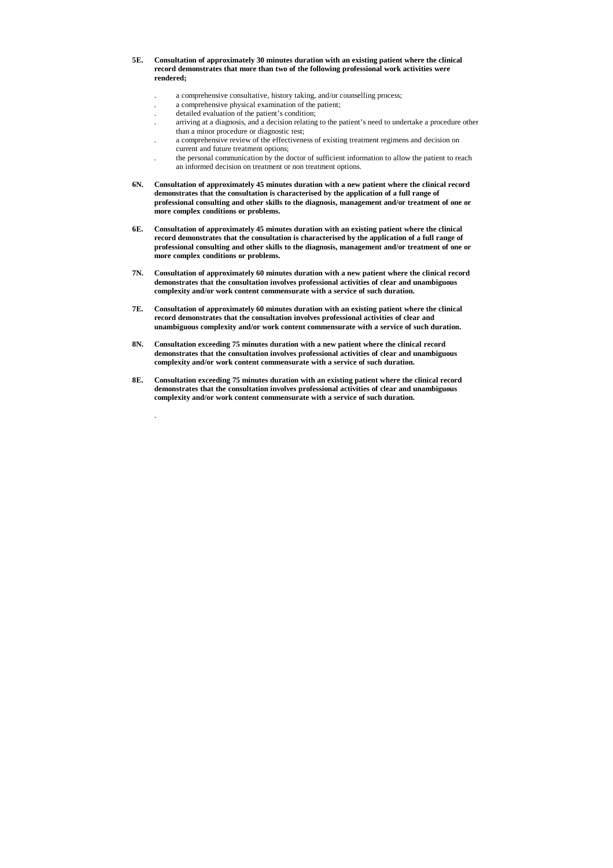- **5E. Consultation of approximately 30 minutes duration with an existing patient where the clinical record demonstrates that more than two of the following professional work activities were rendered;**
	- . a comprehensive consultative, history taking, and/or counselling process;
	- . a comprehensive physical examination of the patient;
	- . detailed evaluation of the patient's condition;

.

- . arriving at a diagnosis, and a decision relating to the patient's need to undertake a procedure other than a minor procedure or diagnostic test;
- . a comprehensive review of the effectiveness of existing treatment regimens and decision on current and future treatment options;
- . the personal communication by the doctor of sufficient information to allow the patient to reach an informed decision on treatment or non treatment options.
- **6N. Consultation of approximately 45 minutes duration with a new patient where the clinical record demonstrates that the consultation is characterised by the application of a full range of professional consulting and other skills to the diagnosis, management and/or treatment of one or more complex conditions or problems.**
- **6E. Consultation of approximately 45 minutes duration with an existing patient where the clinical record demonstrates that the consultation is characterised by the application of a full range of professional consulting and other skills to the diagnosis, management and/or treatment of one or more complex conditions or problems.**
- **7N. Consultation of approximately 60 minutes duration with a new patient where the clinical record demonstrates that the consultation involves professional activities of clear and unambiguous complexity and/or work content commensurate with a service of such duration.**
- **7E. Consultation of approximately 60 minutes duration with an existing patient where the clinical record demonstrates that the consultation involves professional activities of clear and unambiguous complexity and/or work content commensurate with a service of such duration.**
- **8N. Consultation exceeding 75 minutes duration with a new patient where the clinical record demonstrates that the consultation involves professional activities of clear and unambiguous complexity and/or work content commensurate with a service of such duration.**
- **8E. Consultation exceeding 75 minutes duration with an existing patient where the clinical record demonstrates that the consultation involves professional activities of clear and unambiguous complexity and/or work content commensurate with a service of such duration.**